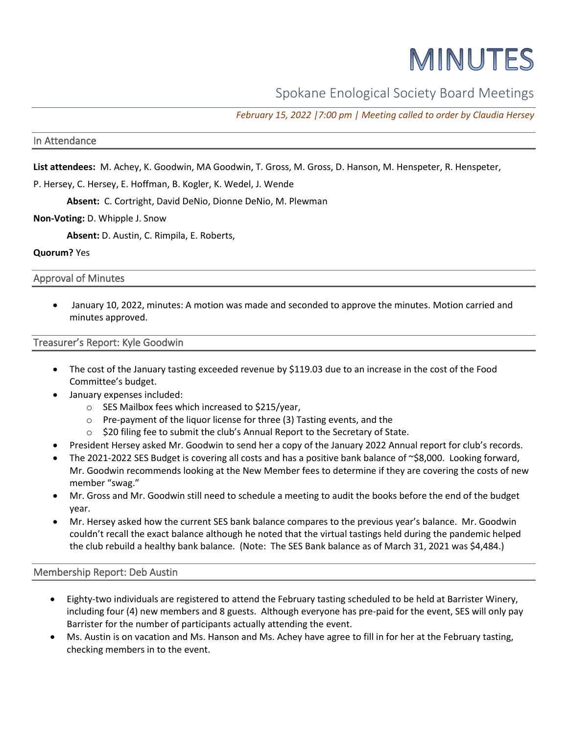# MINUTES

Spokane Enological Society Board Meetings

*February 15, 2022 |7:00 pm | Meeting called to order by Claudia Hersey*

## In Attendance

**List attendees:** M. Achey, K. Goodwin, MA Goodwin, T. Gross, M. Gross, D. Hanson, M. Henspeter, R. Henspeter,

P. Hersey, C. Hersey, E. Hoffman, B. Kogler, K. Wedel, J. Wende

**Absent:** C. Cortright, David DeNio, Dionne DeNio, M. Plewman

#### **Non-Voting:** D. Whipple J. Snow

**Absent:** D. Austin, C. Rimpila, E. Roberts,

## **Quorum?** Yes

Approval of Minutes

• January 10, 2022, minutes: A motion was made and seconded to approve the minutes. Motion carried and minutes approved.

## Treasurer's Report: Kyle Goodwin

- The cost of the January tasting exceeded revenue by \$119.03 due to an increase in the cost of the Food Committee's budget.
- January expenses included:
	- o SES Mailbox fees which increased to \$215/year,
	- o Pre-payment of the liquor license for three (3) Tasting events, and the
	- \$20 filing fee to submit the club's Annual Report to the Secretary of State.
- President Hersey asked Mr. Goodwin to send her a copy of the January 2022 Annual report for club's records.
- The 2021-2022 SES Budget is covering all costs and has a positive bank balance of  $\sim$ \$8,000. Looking forward, Mr. Goodwin recommends looking at the New Member fees to determine if they are covering the costs of new member "swag."
- Mr. Gross and Mr. Goodwin still need to schedule a meeting to audit the books before the end of the budget year.
- Mr. Hersey asked how the current SES bank balance compares to the previous year's balance. Mr. Goodwin couldn't recall the exact balance although he noted that the virtual tastings held during the pandemic helped the club rebuild a healthy bank balance. (Note: The SES Bank balance as of March 31, 2021 was \$4,484.)

#### Membership Report: Deb Austin

- Eighty-two individuals are registered to attend the February tasting scheduled to be held at Barrister Winery, including four (4) new members and 8 guests. Although everyone has pre-paid for the event, SES will only pay Barrister for the number of participants actually attending the event.
- Ms. Austin is on vacation and Ms. Hanson and Ms. Achey have agree to fill in for her at the February tasting, checking members in to the event.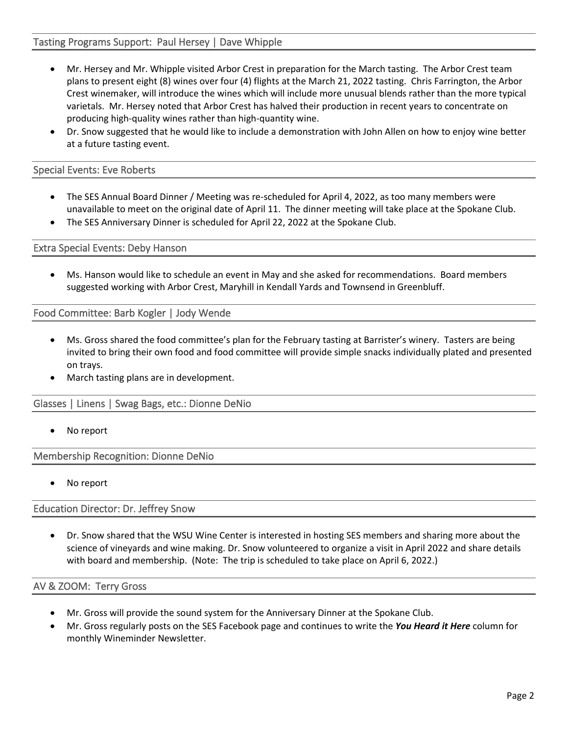## Tasting Programs Support: Paul Hersey | Dave Whipple

- Mr. Hersey and Mr. Whipple visited Arbor Crest in preparation for the March tasting. The Arbor Crest team plans to present eight (8) wines over four (4) flights at the March 21, 2022 tasting. Chris Farrington, the Arbor Crest winemaker, will introduce the wines which will include more unusual blends rather than the more typical varietals. Mr. Hersey noted that Arbor Crest has halved their production in recent years to concentrate on producing high-quality wines rather than high-quantity wine.
- Dr. Snow suggested that he would like to include a demonstration with John Allen on how to enjoy wine better at a future tasting event.

#### Special Events: Eve Roberts

- The SES Annual Board Dinner / Meeting was re-scheduled for April 4, 2022, as too many members were unavailable to meet on the original date of April 11. The dinner meeting will take place at the Spokane Club.
- The SES Anniversary Dinner is scheduled for April 22, 2022 at the Spokane Club.

Extra Special Events: Deby Hanson

• Ms. Hanson would like to schedule an event in May and she asked for recommendations. Board members suggested working with Arbor Crest, Maryhill in Kendall Yards and Townsend in Greenbluff.

Food Committee: Barb Kogler | Jody Wende

- Ms. Gross shared the food committee's plan for the February tasting at Barrister's winery. Tasters are being invited to bring their own food and food committee will provide simple snacks individually plated and presented on trays.
- March tasting plans are in development.

Glasses | Linens | Swag Bags, etc.: Dionne DeNio

No report

Membership Recognition: Dionne DeNio

No report

Education Director: Dr. Jeffrey Snow

• Dr. Snow shared that the WSU Wine Center is interested in hosting SES members and sharing more about the science of vineyards and wine making. Dr. Snow volunteered to organize a visit in April 2022 and share details with board and membership. (Note: The trip is scheduled to take place on April 6, 2022.)

#### AV & ZOOM: Terry Gross

- Mr. Gross will provide the sound system for the Anniversary Dinner at the Spokane Club.
- Mr. Gross regularly posts on the SES Facebook page and continues to write the *You Heard it Here* column for monthly Wineminder Newsletter.